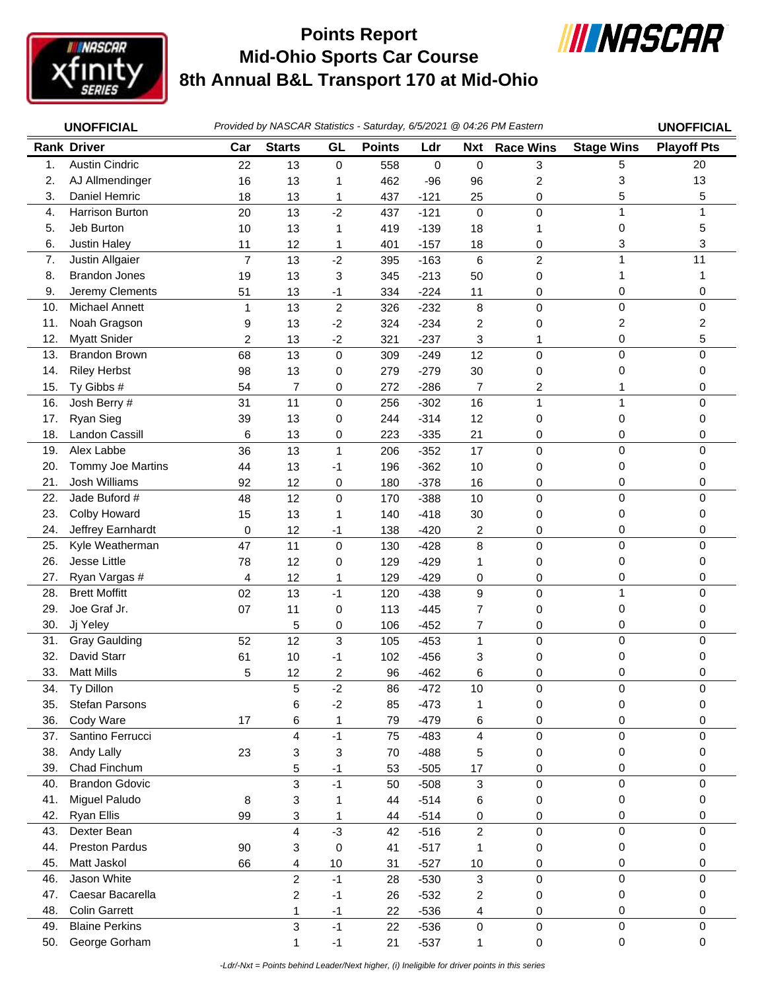

## **Mid-Ohio Sports Car Course 8th Annual B&L Transport 170 at Mid-Ohio Points Report**



|            | <b>UNOFFICIAL</b>                   |                | Provided by NASCAR Statistics - Saturday, 6/5/2021 @ 04:26 PM Eastern |                |               |                  |                  |                     |                   | <b>UNOFFICIAL</b>  |
|------------|-------------------------------------|----------------|-----------------------------------------------------------------------|----------------|---------------|------------------|------------------|---------------------|-------------------|--------------------|
|            | <b>Rank Driver</b>                  | Car            | <b>Starts</b>                                                         | GL             | <b>Points</b> | Ldr              | <b>Nxt</b>       | <b>Race Wins</b>    | <b>Stage Wins</b> | <b>Playoff Pts</b> |
| 1.         | <b>Austin Cindric</b>               | 22             | 13                                                                    | $\mathbf 0$    | 558           | $\mathbf 0$      | $\pmb{0}$        | 3                   | 5                 | 20                 |
| 2.         | AJ Allmendinger                     | 16             | 13                                                                    | 1              | 462           | $-96$            | 96               | 2                   | 3                 | 13                 |
| 3.         | Daniel Hemric                       | 18             | 13                                                                    | 1              | 437           | $-121$           | 25               | 0                   | 5                 | 5                  |
| 4.         | Harrison Burton                     | 20             | 13                                                                    | $-2$           | 437           | $-121$           | $\mathbf 0$      | $\mathbf 0$         | $\mathbf{1}$      | $\mathbf{1}$       |
| 5.         | Jeb Burton                          | 10             | 13                                                                    | 1              | 419           | $-139$           | 18               | 1                   | 0                 | 5                  |
| 6.         | Justin Haley                        | 11             | 12                                                                    | 1              | 401           | $-157$           | 18               | 0                   | 3                 | 3                  |
| 7.         | Justin Allgaier                     | $\overline{7}$ | 13                                                                    | $-2$           | 395           | $-163$           | $\,6\,$          | $\overline{c}$      | $\mathbf 1$       | 11                 |
| 8.         | <b>Brandon Jones</b>                | 19             | 13                                                                    | 3              | 345           | $-213$           | 50               | 0                   | 1                 | 1                  |
| 9.         | Jeremy Clements                     | 51             | 13                                                                    | $-1$           | 334           | $-224$           | 11               | 0                   | 0                 | 0                  |
| 10.        | <b>Michael Annett</b>               | 1              | 13                                                                    | $\overline{c}$ | 326           | $-232$           | 8                | 0                   | 0                 | 0                  |
| 11.        | Noah Gragson                        | 9              | 13                                                                    | $-2$           | 324           | $-234$           | 2                | 0                   | 2                 | 2                  |
| 12.        | <b>Myatt Snider</b>                 | 2              | 13                                                                    | $-2$           | 321           | $-237$           | 3                | 1                   | 0                 | 5                  |
| 13.        | <b>Brandon Brown</b>                | 68             | 13                                                                    | 0              | 309           | $-249$           | 12               | 0                   | $\mathbf 0$       | 0                  |
| 14.        | <b>Riley Herbst</b>                 | 98             | 13                                                                    | 0              | 279           | $-279$           | 30               | 0                   | 0                 | 0                  |
| 15.        | Ty Gibbs #                          | 54             | 7                                                                     | 0              | 272           | $-286$           | 7                | 2                   | 1                 | 0                  |
| 16.        | Josh Berry #                        | 31             | 11                                                                    | 0              | 256           | $-302$           | 16               | $\mathbf{1}$        | $\mathbf{1}$      | 0                  |
| 17.        | Ryan Sieg                           | 39             | 13                                                                    | 0              | 244           | $-314$           | 12               | 0                   | 0                 | 0                  |
| 18.        | Landon Cassill                      | 6              | 13                                                                    | 0              | 223           | $-335$           | 21               | 0                   | 0                 | 0                  |
| 19.        | Alex Labbe                          | 36             | 13                                                                    | 1              | 206           | $-352$           | 17               | $\pmb{0}$           | 0                 | 0                  |
| 20.        | Tommy Joe Martins                   | 44             | 13                                                                    | -1             | 196           | $-362$           | 10               | 0                   | 0                 | 0                  |
| 21.        | <b>Josh Williams</b>                | 92             | 12                                                                    | 0              | 180           | $-378$           | 16               | 0                   | 0                 | 0                  |
| 22.        | Jade Buford #                       | 48             | 12                                                                    | 0              | 170           | $-388$           | 10               | 0                   | 0                 | 0                  |
| 23.        | Colby Howard                        | 15             | 13                                                                    | 1              | 140           | $-418$           | 30               | 0                   | 0                 | 0                  |
| 24.        | Jeffrey Earnhardt                   | 0              | 12                                                                    | $-1$           | 138           | $-420$           | $\overline{c}$   | 0                   | 0                 | 0                  |
| 25.        | Kyle Weatherman                     | 47             | 11                                                                    | 0              | 130           | $-428$           | 8                | 0                   | 0                 | 0                  |
| 26.        | Jesse Little                        | 78             | 12                                                                    | 0              | 129           | $-429$           | 1                | 0                   | 0                 | 0                  |
| 27.        | Ryan Vargas #                       | 4              | 12                                                                    | 1              | 129           | $-429$           | 0                | 0                   | 0                 | 0                  |
| 28.        | <b>Brett Moffitt</b>                | 02             | 13                                                                    | $-1$           | 120           | $-438$           | 9                | $\pmb{0}$           | $\mathbf{1}$      | 0                  |
| 29.        | Joe Graf Jr.                        | 07             | 11                                                                    | 0              | 113           | $-445$           | $\overline{7}$   | 0                   | 0                 | 0                  |
| 30.        | Jj Yeley                            |                | 5                                                                     | 0              | 106           | $-452$           | 7                | 0                   | 0                 | 0                  |
| 31.        | <b>Gray Gaulding</b><br>David Starr | 52             | 12                                                                    | 3              | 105           | $-453$           | $\mathbf{1}$     | $\pmb{0}$           | $\mathbf 0$       | 0                  |
| 32.        | <b>Matt Mills</b>                   | 61             | 10                                                                    | -1             | 102           | $-456$           | 3<br>6           | 0                   | 0                 | 0                  |
| 33.<br>34. | Ty Dillon                           | 5              | 12<br>5                                                               | 2<br>$-2$      | 96            | $-462$<br>$-472$ |                  | 0                   | 0<br>0            | 0<br>0             |
| 35.        | <b>Stefan Parsons</b>               |                | 6                                                                     | $-2$           | 86<br>85      | $-473$           | 10<br>-1         | 0                   | 0                 | 0                  |
| 36.        | Cody Ware                           | 17             | 6                                                                     | 1              | 79            | $-479$           | 6                | 0<br>0              | 0                 | 0                  |
| 37.        | Santino Ferrucci                    |                | 4                                                                     | $-1$           | 75            | $-483$           | $\overline{4}$   | 0                   | 0                 | 0                  |
| 38.        | Andy Lally                          | 23             | 3                                                                     | 3              | 70            | $-488$           | 5                | 0                   | 0                 | 0                  |
| 39.        | Chad Finchum                        |                | 5                                                                     | $-1$           | 53            | $-505$           | 17               | 0                   | 0                 | 0                  |
| 40.        | <b>Brandon Gdovic</b>               |                | 3                                                                     | $-1$           | 50            | $-508$           | $\mathbf{3}$     | $\mathsf{O}\xspace$ | 0                 | 0                  |
| 41.        | Miguel Paludo                       | 8              | 3                                                                     | 1              | 44            | $-514$           | 6                | 0                   | 0                 | 0                  |
| 42.        | <b>Ryan Ellis</b>                   | 99             | 3                                                                     |                | 44            | $-514$           | 0                | 0                   | 0                 | 0                  |
| 43.        | Dexter Bean                         |                | 4                                                                     | $-3$           | 42            | $-516$           | $\boldsymbol{2}$ | $\pmb{0}$           | 0                 | 0                  |
| 44.        | <b>Preston Pardus</b>               | 90             | 3                                                                     | 0              | 41            | $-517$           | 1                | 0                   | 0                 | 0                  |
| 45.        | Matt Jaskol                         | 66             | 4                                                                     | 10             | 31            | $-527$           | 10               | 0                   | 0                 | 0                  |
| 46.        | Jason White                         |                | $\overline{c}$                                                        | $-1$           | 28            | $-530$           | $\mathfrak{Z}$   | $\pmb{0}$           | 0                 | 0                  |
| 47.        | Caesar Bacarella                    |                | $\overline{c}$                                                        | $-1$           | 26            | $-532$           | $\overline{c}$   | 0                   | 0                 | 0                  |
| 48.        | <b>Colin Garrett</b>                |                | 1                                                                     | $-1$           | 22            | $-536$           | 4                | 0                   | 0                 | 0                  |
| 49.        | <b>Blaine Perkins</b>               |                | 3                                                                     | $-1$           | 22            | $-536$           | $\pmb{0}$        | $\pmb{0}$           | 0                 | 0                  |
| 50.        | George Gorham                       |                | 1                                                                     | $-1$           | 21            | $-537$           |                  | 0                   | 0                 | 0                  |